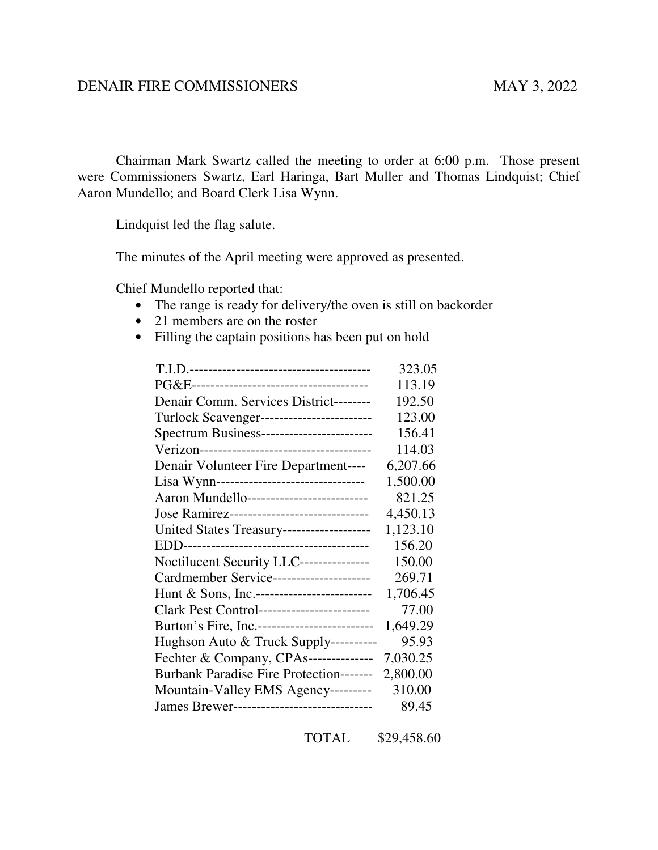## DENAIR FIRE COMMISSIONERS MAY 3, 2022

Chairman Mark Swartz called the meeting to order at 6:00 p.m. Those present were Commissioners Swartz, Earl Haringa, Bart Muller and Thomas Lindquist; Chief Aaron Mundello; and Board Clerk Lisa Wynn.

Lindquist led the flag salute.

The minutes of the April meeting were approved as presented.

Chief Mundello reported that:

- The range is ready for delivery/the oven is still on backorder
- 21 members are on the roster
- Filling the captain positions has been put on hold

|                                                | 323.05   |
|------------------------------------------------|----------|
|                                                | 113.19   |
| Denair Comm. Services District--------         | 192.50   |
| Turlock Scavenger-------------------------     | 123.00   |
| Spectrum Business------------------------      | 156.41   |
|                                                | 114.03   |
| Denair Volunteer Fire Department----           | 6,207.66 |
| Lisa Wynn--------------------------------      | 1,500.00 |
| Aaron Mundello--------------------------       | 821.25   |
| Jose Ramirez------------------------------     | 4,450.13 |
| United States Treasury-------------------      | 1,123.10 |
|                                                | 156.20   |
| Noctilucent Security LLC---------------        | 150.00   |
| Cardmember Service---------------------        | 269.71   |
| Hunt & Sons, Inc.--------------------------    | 1,706.45 |
| Clark Pest Control------------------------     | 77.00    |
| Burton's Fire, Inc.-------------------------   | 1,649.29 |
| Hughson Auto & Truck Supply----------          | 95.93    |
| Fechter & Company, CPAs--------------          | 7,030.25 |
| <b>Burbank Paradise Fire Protection-------</b> | 2,800.00 |
| Mountain-Valley EMS Agency---------            | 310.00   |
| James Brewer--------------------------------   | 89.45    |

TOTAL \$29,458.60